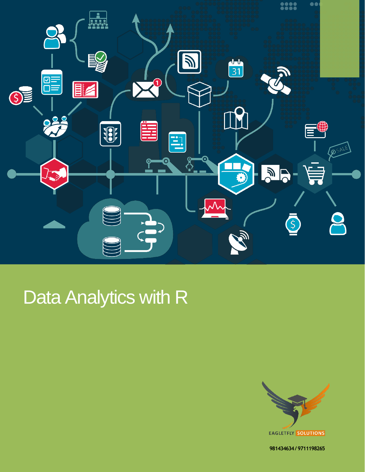

# Data Analytics with R



**981434634 / 9711198265**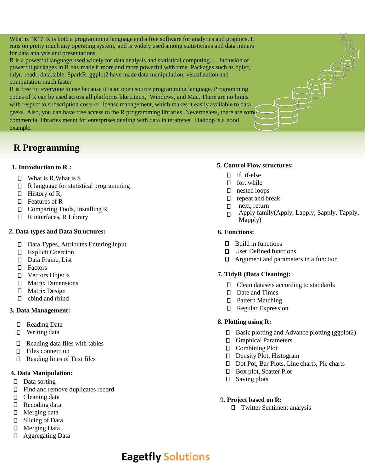What is "R"? R is both a programming language and a free software for analytics and graphics. It runs on pretty much any operating system, and is widely used among statisticians and data miners for data analysis and presentations.

R is a powerful language used widely for data analysis and statistical computing. ... Inclusion of powerful packages in R has made it more and more powerful with time. Packages such as dplyr, tidyr, readr, data.table, SparkR, ggplot2 have made data manipulation, visualization and computation much faster

R is free for everyone to use because it is an open source programming language. Programming codes of R can be used across all platforms like Linux, Windows, and Mac. There are no limits with respect to subscription costs or license management, which makes it easily available to data geeks. Also, you can have free access to the R programming libraries. Nevertheless, there are some commercial libraries meant for enterprises dealing with data in terabytes. Hadoop is a good example.

# **R Programming**

# **1. Introduction to R :**

- $\Box$  What is R, What is S
- □ R language for statistical programming
- $\Box$  History of R,
- □ Features of R
- Comparing Tools, Installing R
- □ R interfaces, R Library

# **2. Data types and Data Structures:**

- Data Types, Attributes Entering Input
- **D** Explicit Coercion
- Data Frame, List
- D Factors
- Vectors Objects
- Matrix Dimensions
- Matrix Design
- □ cbind and rbind

# **3. Data Management:**

- Reading Data
- □ Writing data
- $\Box$  Reading data files with tables
- □ Files connection
- $\Box$  Reading lines of Text files

# **4. Data Manipulation:**

- Data sorting
- Find and remove duplicates record
- D Cleaning data
- □ Recoding data
- Merging data
- □ Slicing of Data
- □ Merging Data
- Aggregating Data

# **5. Control Flow structures:**

- $\Box$  If, if-else
- $\Box$  for, while
- nested loops
- $\Box$  repeat and break
- $\Box$  next, return
- Apply family(Apply, Lapply, Sapply, Tapply,  $\Box$ Mapply)

# **6. Functions:**

- $\Box$  Build in functions
- □ User Defined functions
- Argument and parameters in a function

# **7. TidyR (Data Cleaning):**

- □ Clean datasets according to standards
- Date and Times
- □ Pattern Matching
- Regular Expression

# **8. Plotting using R:**

- $\square$  Basic plotting and Advance plotting (ggplot2)
- Graphical Parameters
- Combining Plot
- D Density Plot, Histogram
- □ Dot Pot, Bar Plots, Line charts, Pie charts
- □ Box plot, Scatter Plot
- □ Saving plots

# 9**. Project based on R:**

Twitter Sentiment analysis

# **Eagetfly Solutions**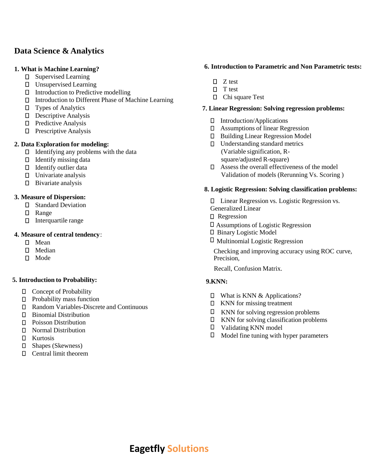# **Data Science & Analytics**

#### **1. What is Machine Learning?**

- Supervised Learning
- Unsupervised Learning
- $\Box$  Introduction to Predictive modelling
- Introduction to Different Phase of Machine Learning
- $\square$  Types of Analytics
- Descriptive Analysis
- □ Predictive Analysis
- **D** Prescriptive Analysis

#### **2. Data Exploration for modeling:**

- $\Box$  Identifying any problems with the data
- $\Box$  Identify missing data
- Identify outlier data
- $\square$  Univariate analysis
- $\square$  Bivariate analysis

#### **3. Measure of Dispersion:**

- Standard Deviation
- Range
- $\Box$  Interquartile range

#### **4. Measure of central tendency**:

- D Mean
- D Median
- $\Pi$  Mode

#### **5. Introduction to Probability:**

- Concept of Probability
- **D** Probability mass function
- Random Variables-Discrete and Continuous
- Binomial Distribution
- D Poisson Distribution
- Normal Distribution
- Kurtosis
- Shapes (Skewness)
- Central limit theorem

#### **6. Introduction to Parametric and Non Parametric tests:**

- $\Box$  Z test
- $\Box$  T test
- □ Chi square Test

#### **7. Linear Regression: Solving regression problems:**

- Introduction/Applications
- Assumptions of linear Regression
- Building Linear Regression Model
- □ Understanding standard metrics (Variable signification, Rsquare/adjusted R-square)
- Assess the overall effectiveness of the model Validation of models (Rerunning Vs. Scoring )

#### **8. Logistic Regression: Solving classification problems:**

Linear Regression vs. Logistic Regression vs. Generalized Linear

- □ Regression
- Assumptions of Logistic Regression
- Binary Logistic Model
- $\Box$  Multinomial Logistic Regression

Checking and improving accuracy using ROC curve, Precision,

Recall, Confusion Matrix.

#### **9.KNN:**

- □ What is KNN & Applications?
- $\Box$  KNN for missing treatment
- $\Box$  KNN for solving regression problems
- $\Box$  KNN for solving classification problems
- Validating KNN model
- $\Box$  Model fine tuning with hyper parameters